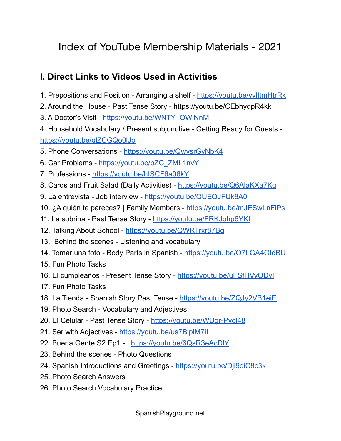# Index of YouTube Membership Materials - 2021

# **I. Direct Links to Videos Used in Activities**

- 1. Prepositions and Position Arranging a shelf https://youtu.be/yylltmHtrRk
- 2. Around the House Past Tense Story https://youtu.be/CEbhyqpR4kk
- 3. A Doctor's Visit https://youtu.be/WNTY\_OWINnM
- 4. Household Vocabulary / Present subjunctive Getting Ready for Guests <https://youtu.be/glZCGQo0lJo>
- 5. Phone Conversations -<https://youtu.be/QwvsrGyNbK4>
- 6. Car Problems - [https://youtu.be/pZC\\_ZML1nvY](https://youtu.be/pZC_ZML1nvY)
- 7. Professions <https://youtu.be/hISCF6a06kY>
- 8. Cards and Fruit Salad (Daily Activities) <https://youtu.be/Q6AlaKXa7Kg>
- 9. La entrevista Job interview <https://youtu.be/QUEQJFUk8A0>
- 10. ¿A quién te pareces? | Family Members <https://youtu.be/mJESwLnFiPs>
- 11. La sobrina Past Tense Story <https://youtu.be/FRKJohp6YKI>
- 12. Talking About School <https://youtu.be/QWRTrxr87Bg>
- 13. Behind the scenes Listening and vocabulary
- 14. Tomar una foto Body Parts in Spanish -<https://youtu.be/O7LGA4GIdBU>
- 15. Fun Photo Tasks
- 16. El cumpleaños Present Tense Story <https://youtu.be/uFSfHVyODvI>
- 17. Fun Photo Tasks
- 18. La Tienda Spanish Story Past Tense <https://youtu.be/ZQJy2VB1eiE>
- 19. Photo Search Vocabulary and Adjectives
- 20. El Celular Past Tense Story -<https://youtu.be/WUgr-PycI48>
- 21. Ser with Adjectives https://youtu.be/us7BlplM7il
- 22. Buena Gente S2 Ep1 <https://youtu.be/6QsR3eAcDlY>
- 23. Behind the scenes Photo Questions
- 24. Spanish Introductions and Greetings <https://youtu.be/Dji9oiC8c3k>
- 25. Photo Search Answers
- 26. Photo Search Vocabulary Practice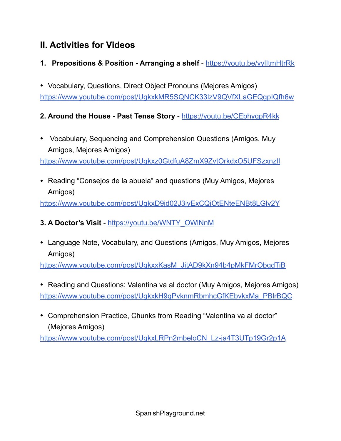# **II. Activities for Videos**

- **1. Prepositions & Position Arranging a shelf** -<https://youtu.be/yylItmHtrRk>
- Vocabulary, Questions, Direct Object Pronouns (Mejores Amigos) <https://www.youtube.com/post/UgkxkMR5SQNCK33lzV9QVfXLaGEQgpIQfh6w>

# **2. Around the House - Past Tense Story** -<https://youtu.be/CEbhyqpR4kk>

• Vocabulary, Sequencing and Comprehension Questions (Amigos, Muy Amigos, Mejores Amigos)

<https://www.youtube.com/post/Ugkxz0GtdfuA8ZmX9ZvtOrkdxO5UFSzxnzlI>

• Reading "Consejos de la abuela" and questions (Muy Amigos, Mejores Amigos)

<https://www.youtube.com/post/UgkxD9jd02J3jyExCQjOtENteENBt8LGlv2Y>

### **3. A Doctor's Visit** - [https://youtu.be/WNTY\\_OWlNnM](https://youtu.be/WNTY_OWlNnM)

• Language Note, Vocabulary, and Questions (Amigos, Muy Amigos, Mejores Amigos)

[https://www.youtube.com/post/UgkxxKasM\\_JitAD9kXn94b4pMkFMrObgdTiB](https://www.youtube.com/post/UgkxxKasM_JitAD9kXn94b4pMkFMrObgdTiB)

- Reading and Questions: Valentina va al doctor (Muy Amigos, Mejores Amigos) [https://www.youtube.com/post/UgkxkH9qPvknmRbmhcGfKEbvkxMa\\_PBlrBQC](https://www.youtube.com/post/UgkxkH9qPvknmRbmhcGfKEbvkxMa_PBlrBQC)
- Comprehension Practice, Chunks from Reading "Valentina va al doctor" (Mejores Amigos)

[https://www.youtube.com/post/UgkxLRPn2mbeloCN\\_Lz-ja4T3UTp19Gr2p1A](https://www.youtube.com/post/UgkxLRPn2mbeloCN_Lz-ja4T3UTp19Gr2p1A)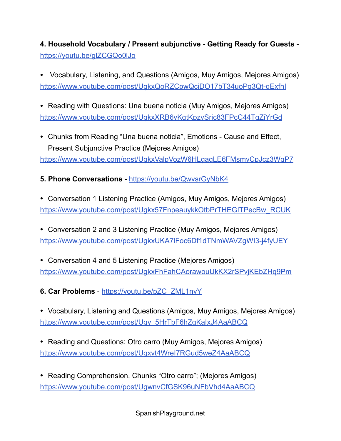**4. Household Vocabulary / Present subjunctive - Getting Ready for Guests**  <https://youtu.be/glZCGQo0lJo>

• Vocabulary, Listening, and Questions (Amigos, Muy Amigos, Mejores Amigos) <https://www.youtube.com/post/UgkxQoRZCpwQciDO17bT34uoPg3Qt-qExfhI>

• Reading with Questions: Una buena noticia (Muy Amigos, Mejores Amigos) <https://www.youtube.com/post/UgkxXRB6vKqtKpzvSric83FPcC44TqZjYrGd>

• Chunks from Reading "Una buena noticia", Emotions - Cause and Effect, Present Subjunctive Practice (Mejores Amigos)

<https://www.youtube.com/post/UgkxValpVozW6HLgaqLE6FMsmyCpJcz3WqP7>

**5. Phone Conversations -** <https://youtu.be/QwvsrGyNbK4>

• Conversation 1 Listening Practice (Amigos, Muy Amigos, Mejores Amigos) [https://www.youtube.com/post/Ugkx57FnpeauykkOtbPrTHEGITPecBw\\_RCUK](https://www.youtube.com/post/Ugkx57FnpeauykkOtbPrTHEGITPecBw_RCUK)

• Conversation 2 and 3 Listening Practice (Muy Amigos, Mejores Amigos) <https://www.youtube.com/post/UgkxUKA7lFoc6Df1dTNmWAVZgWI3-j4fyUEY>

• Conversation 4 and 5 Listening Practice (Mejores Amigos) <https://www.youtube.com/post/UgkxFhFahCAorawouUkKX2rSPvjKEbZHq9Pm>

**6. Car Problems** - [https://youtu.be/pZC\\_ZML1nvY](https://youtu.be/pZC_ZML1nvY)

• Vocabulary, Listening and Questions (Amigos, Muy Amigos, Mejores Amigos) [https://www.youtube.com/post/Ugy\\_5HrTbF6hZgKaIxJ4AaABCQ](https://www.youtube.com/post/Ugy_5HrTbF6hZgKaIxJ4AaABCQ)

• Reading and Questions: Otro carro (Muy Amigos, Mejores Amigos) <https://www.youtube.com/post/Ugxvt4WreI7RGud5weZ4AaABCQ>

• Reading Comprehension, Chunks "Otro carro"; (Mejores Amigos) <https://www.youtube.com/post/UgwnvCfGSK96uNFbVhd4AaABCQ>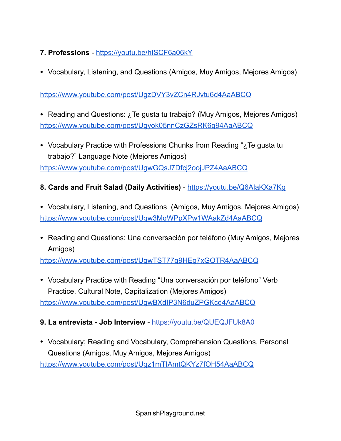# **7. Professions** -<https://youtu.be/hISCF6a06kY>

• Vocabulary, Listening, and Questions (Amigos, Muy Amigos, Mejores Amigos)

#### <https://www.youtube.com/post/UgzDVY3vZCn4RJvtu6d4AaABCQ>

- Reading and Questions: ¿Te gusta tu trabajo? (Muy Amigos, Mejores Amigos) <https://www.youtube.com/post/Ugyok05nnCzGZsRK6q94AaABCQ>
- Vocabulary Practice with Professions Chunks from Reading "¿Te gusta tu trabajo?" Language Note (Mejores Amigos)

<https://www.youtube.com/post/UgwGQsJ7Dfcj2oojJPZ4AaABCQ>

#### **8. Cards and Fruit Salad (Daily Activities)** - <https://youtu.be/Q6AlaKXa7Kg>

- Vocabulary, Listening, and Questions (Amigos, Muy Amigos, Mejores Amigos) <https://www.youtube.com/post/Ugw3MqWPpXPw1WAakZd4AaABCQ>
- Reading and Questions: Una conversación por teléfono (Muy Amigos, Mejores Amigos)

<https://www.youtube.com/post/UgwTST77q9HEg7xGOTR4AaABCQ>

• Vocabulary Practice with Reading "Una conversación por teléfono" Verb Practice, Cultural Note, Capitalization (Mejores Amigos) <https://www.youtube.com/post/UgwBXdIP3N6duZPGKcd4AaABCQ>

**9. La entrevista - Job Interview** - https://youtu.be/QUEQJFUk8A0

• Vocabulary; Reading and Vocabulary, Comprehension Questions, Personal

<https://www.youtube.com/post/Ugz1mTIAmtQKYz7fOH54AaABCQ>

Questions (Amigos, Muy Amigos, Mejores Amigos)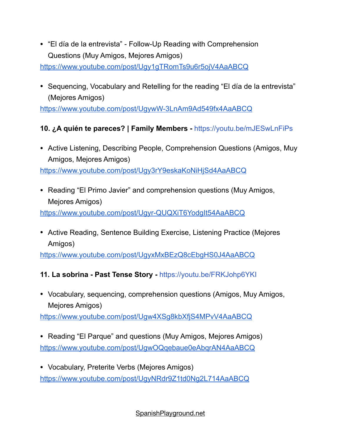• "El día de la entrevista" - Follow-Up Reading with Comprehension Questions (Muy Amigos, Mejores Amigos)

<https://www.youtube.com/post/Ugy1gTRomTs9u6r5ojV4AaABCQ>

• Sequencing, Vocabulary and Retelling for the reading "El día de la entrevista" (Mejores Amigos)

<https://www.youtube.com/post/UgywW-3LnAm9Ad549fx4AaABCQ>

### **10. ¿A quién te pareces? | Family Members -** https://youtu.be/mJESwLnFiPs

• Active Listening, Describing People, Comprehension Questions (Amigos, Muy Amigos, Mejores Amigos)

<https://www.youtube.com/post/Ugy3rY9eskaKoNiHjSd4AaABCQ>

• Reading "El Primo Javier" and comprehension questions (Muy Amigos, Mejores Amigos)

<https://www.youtube.com/post/Ugyr-QUQXiT6YodgIt54AaABCQ>

• Active Reading, Sentence Building Exercise, Listening Practice (Mejores Amigos)

<https://www.youtube.com/post/UgyxMxBEzQ8cEbgHS0J4AaABCQ>

# **11. La sobrina - Past Tense Story -** https://youtu.be/FRKJohp6YKI

• Vocabulary, sequencing, comprehension questions (Amigos, Muy Amigos, Mejores Amigos)

<https://www.youtube.com/post/Ugw4XSg8kbXfjS4MPvV4AaABCQ>

- Reading "El Parque" and questions (Muy Amigos, Mejores Amigos) <https://www.youtube.com/post/UgwOQqebaue0eAbqrAN4AaABCQ>
- Vocabulary, Preterite Verbs (Mejores Amigos) <https://www.youtube.com/post/UgyNRdr9Z1td0Ng2L714AaABCQ>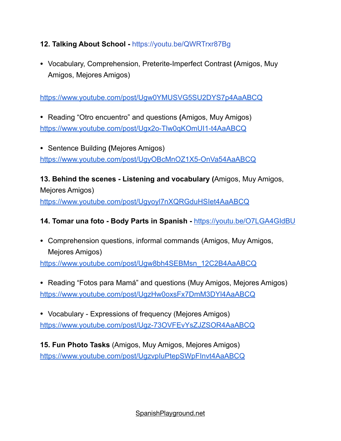#### **12. Talking About School -** https://youtu.be/QWRTrxr87Bg

• Vocabulary, Comprehension, Preterite-Imperfect Contrast **(**Amigos, Muy Amigos, Mejores Amigos)

<https://www.youtube.com/post/Ugw0YMUSVG5SU2DYS7p4AaABCQ>

• Reading "Otro encuentro" and questions **(**Amigos, Muy Amigos) <https://www.youtube.com/post/Ugx2o-Tlw0qKOmUI1-t4AaABCQ>

• Sentence Building **(**Mejores Amigos) <https://www.youtube.com/post/UgyOBcMnOZ1X5-OnVa54AaABCQ>

**13. Behind the scenes - Listening and vocabulary (**Amigos, Muy Amigos, Mejores Amigos) <https://www.youtube.com/post/Ugyoyl7nXQRGduHSIet4AaABCQ>

#### **14. Tomar una foto - Body Parts in Spanish -** <https://youtu.be/O7LGA4GIdBU>

• Comprehension questions, informal commands (Amigos, Muy Amigos, Mejores Amigos)

[https://www.youtube.com/post/Ugw8bh4SEBMsn\\_12C2B4AaABCQ](https://www.youtube.com/post/Ugw8bh4SEBMsn_12C2B4AaABCQ)

• Reading "Fotos para Mamá" and questions (Muy Amigos, Mejores Amigos) <https://www.youtube.com/post/UgzHw0oxsFx7DmM3DYl4AaABCQ>

• Vocabulary - Expressions of frequency (Mejores Amigos) <https://www.youtube.com/post/Ugz-73OVFEvYsZJZSOR4AaABCQ>

**15. Fun Photo Tasks** (Amigos, Muy Amigos, Mejores Amigos) <https://www.youtube.com/post/UgzvpIuPtepSWpFInvt4AaABCQ>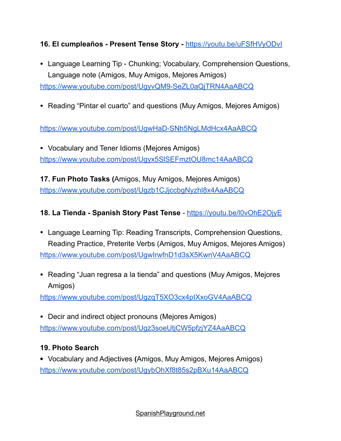**16. El cumpleaños - Present Tense Story -** <https://youtu.be/uFSfHVyODvI>

• Language Learning Tip - Chunking; Vocabulary, Comprehension Questions, Language note (Amigos, Muy Amigos, Mejores Amigos)

<https://www.youtube.com/post/UgyvQM9-SeZL0aQjTRN4AaABCQ>

• Reading "Pintar el cuarto" and questions (Muy Amigos, Mejores Amigos)

<https://www.youtube.com/post/UgwHaD-SNh5NgLMdHcx4AaABCQ>

• Vocabulary and Tener Idioms (Mejores Amigos) <https://www.youtube.com/post/Ugyx5SlSEFmztOU8mc14AaABCQ>

**17. Fun Photo Tasks (**Amigos, Muy Amigos, Mejores Amigos) <https://www.youtube.com/post/Ugzb1CJjccbgNyzhl8x4AaABCQ>

# **18. La Tienda - Spanish Story Past Tense** - <https://youtu.be/l0vOhE2OjyE>

- Language Learning Tip: Reading Transcripts, Comprehension Questions, Reading Practice, Preterite Verbs (Amigos, Muy Amigos, Mejores Amigos) <https://www.youtube.com/post/UgwIrwfnD1d3sX5KwnV4AaABCQ>
- Reading "Juan regresa a la tienda" and questions (Muy Amigos, Mejores Amigos)

<https://www.youtube.com/post/UgzqT5XO3cx4pIXxoGV4AaABCQ>

• Decir and indirect object pronouns (Mejores Amigos) <https://www.youtube.com/post/Ugz3soeUtjCW5pfzjYZ4AaABCQ>

#### **19. Photo Search**

**•** Vocabulary and Adjectives **(**Amigos, Muy Amigos, Mejores Amigos) <https://www.youtube.com/post/UgybOhXf8t85s2pBXu14AaABCQ>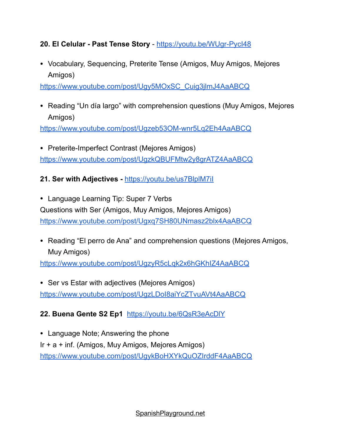#### **20. El Celular - Past Tense Story** -<https://youtu.be/WUgr-PycI48>

• Vocabulary, Sequencing, Preterite Tense (Amigos, Muy Amigos, Mejores Amigos)

[https://www.youtube.com/post/Ugy5MOxSC\\_Cuig3jlmJ4AaABCQ](https://www.youtube.com/post/Ugy5MOxSC_Cuig3jlmJ4AaABCQ)

• Reading "Un día largo" with comprehension questions (Muy Amigos, Mejores Amigos)

<https://www.youtube.com/post/Ugzeb53OM-wnr5Lq2Eh4AaABCQ>

• Preterite-Imperfect Contrast (Mejores Amigos) <https://www.youtube.com/post/UgzkQBUFMtw2y8grATZ4AaABCQ>

#### **21. Ser with Adjectives -** <https://youtu.be/us7BlplM7iI>

• Language Learning Tip: Super 7 Verbs Questions with Ser (Amigos, Muy Amigos, Mejores Amigos) <https://www.youtube.com/post/Ugxq7SH80UNmasz2blx4AaABCQ>

• Reading "El perro de Ana" and comprehension questions (Mejores Amigos, Muy Amigos)

<https://www.youtube.com/post/UgzyR5cLqk2x6hGKhIZ4AaABCQ>

• Ser vs Estar with adjectives (Mejores Amigos) <https://www.youtube.com/post/UgzLDoI8aiYcZTvuAVt4AaABCQ>

#### **22. Buena Gente S2 Ep1** <https://youtu.be/6QsR3eAcDlY>

• Language Note; Answering the phone Ir + a + inf. (Amigos, Muy Amigos, Mejores Amigos) <https://www.youtube.com/post/UgykBoHXYkQuOZIrddF4AaABCQ>